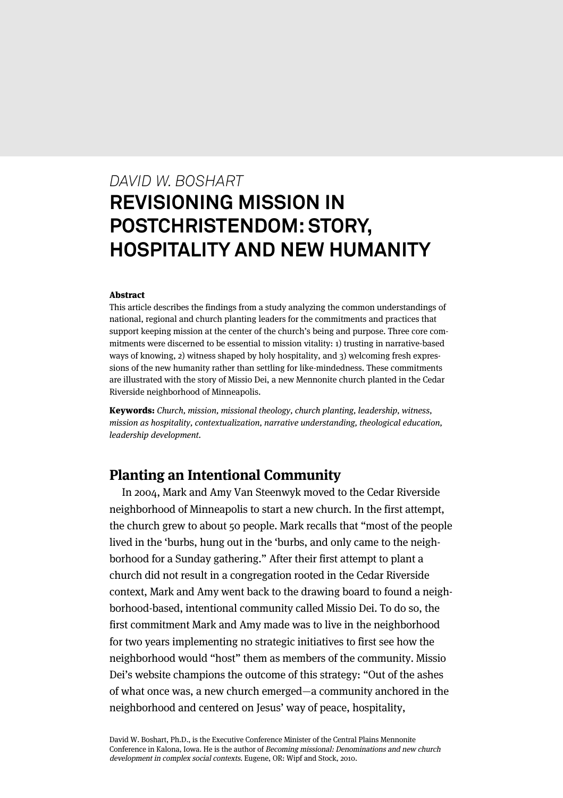# *DAVID W. BOSHART* **REVISIONING MISSION IN POSTCHRISTENDOM: STORY, HOSPITALITY AND NEW HUMANITY**

#### Abstract

This article describes the findings from a study analyzing the common understandings of national, regional and church planting leaders for the commitments and practices that support keeping mission at the center of the church's being and purpose. Three core commitments were discerned to be essential to mission vitality: 1) trusting in narrative-based ways of knowing, 2) witness shaped by holy hospitality, and 3) welcoming fresh expressions of the new humanity rather than settling for like-mindedness. These commitments are illustrated with the story of Missio Dei, a new Mennonite church planted in the Cedar Riverside neighborhood of Minneapolis.

Keywords: Church, mission, missional theology, church planting, leadership, witness, mission as hospitality, contextualization, narrative understanding, theological education, leadership development.

# **Planting an Intentional Community**

In 2004, Mark and Amy Van Steenwyk moved to the Cedar Riverside neighborhood of Minneapolis to start a new church. In the first attempt, the church grew to about 50 people. Mark recalls that "most of the people lived in the 'burbs, hung out in the 'burbs, and only came to the neighborhood for a Sunday gathering." After their first attempt to plant a church did not result in a congregation rooted in the Cedar Riverside context, Mark and Amy went back to the drawing board to found a neighborhood-based, intentional community called Missio Dei. To do so, the first commitment Mark and Amy made was to live in the neighborhood for two years implementing no strategic initiatives to first see how the neighborhood would "host" them as members of the community. Missio Dei's website champions the outcome of this strategy: "Out of the ashes of what once was, a new church emerged—a community anchored in the neighborhood and centered on Jesus' way of peace, hospitality,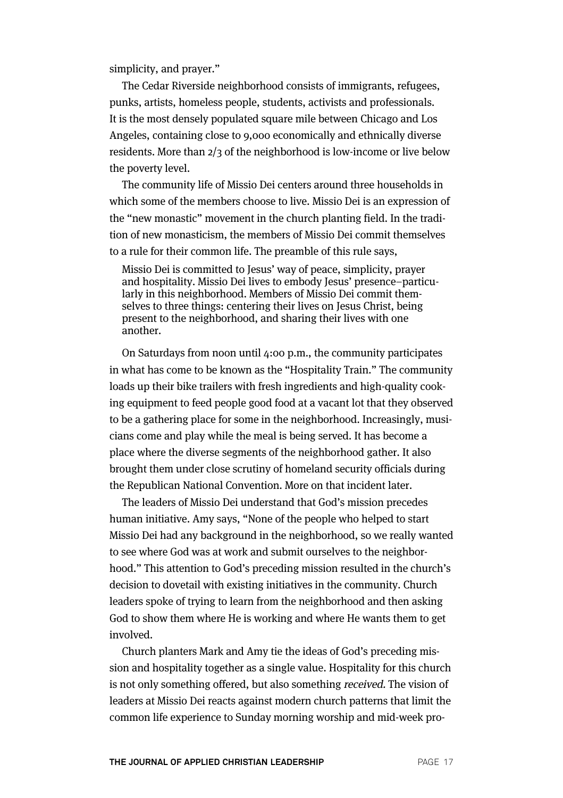simplicity, and prayer."

The Cedar Riverside neighborhood consists of immigrants, refugees, punks, artists, homeless people, students, activists and professionals. It is the most densely populated square mile between Chicago and Los Angeles, containing close to 9,000 economically and ethnically diverse residents. More than 2/3 of the neighborhood is low-income or live below the poverty level.

The community life of Missio Dei centers around three households in which some of the members choose to live. Missio Dei is an expression of the "new monastic" movement in the church planting field. In the tradition of new monasticism, the members of Missio Dei commit themselves to a rule for their common life. The preamble of this rule says,

Missio Dei is committed to Jesus' way of peace, simplicity, prayer and hospitality. Missio Dei lives to embody Jesus' presence–particularly in this neighborhood. Members of Missio Dei commit themselves to three things: centering their lives on Jesus Christ, being present to the neighborhood, and sharing their lives with one another.

On Saturdays from noon until 4:00 p.m., the community participates in what has come to be known as the "Hospitality Train." The community loads up their bike trailers with fresh ingredients and high-quality cooking equipment to feed people good food at a vacant lot that they observed to be a gathering place for some in the neighborhood. Increasingly, musicians come and play while the meal is being served. It has become a place where the diverse segments of the neighborhood gather. It also brought them under close scrutiny of homeland security officials during the Republican National Convention. More on that incident later.

The leaders of Missio Dei understand that God's mission precedes human initiative. Amy says, "None of the people who helped to start Missio Dei had any background in the neighborhood, so we really wanted to see where God was at work and submit ourselves to the neighborhood." This attention to God's preceding mission resulted in the church's decision to dovetail with existing initiatives in the community. Church leaders spoke of trying to learn from the neighborhood and then asking God to show them where He is working and where He wants them to get involved.

Church planters Mark and Amy tie the ideas of God's preceding mission and hospitality together as a single value. Hospitality for this church is not only something offered, but also something received. The vision of leaders at Missio Dei reacts against modern church patterns that limit the common life experience to Sunday morning worship and mid-week pro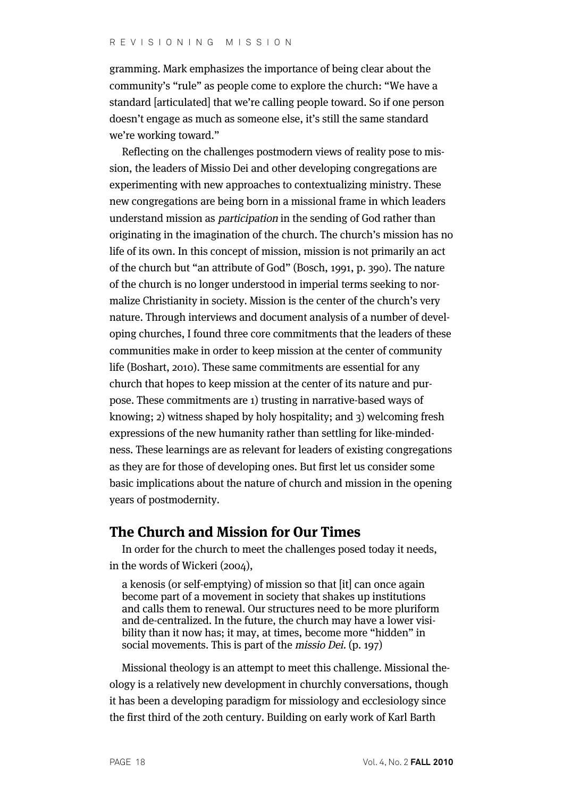gramming. Mark emphasizes the importance of being clear about the community's "rule" as people come to explore the church: "We have a standard [articulated] that we're calling people toward. So if one person doesn't engage as much as someone else, it's still the same standard we're working toward."

Reflecting on the challenges postmodern views of reality pose to mission, the leaders of Missio Dei and other developing congregations are experimenting with new approaches to contextualizing ministry. These new congregations are being born in a missional frame in which leaders understand mission as participation in the sending of God rather than originating in the imagination of the church. The church's mission has no life of its own. In this concept of mission, mission is not primarily an act of the church but "an attribute of God" (Bosch, 1991, p. 390). The nature of the church is no longer understood in imperial terms seeking to normalize Christianity in society. Mission is the center of the church's very nature. Through interviews and document analysis of a number of developing churches, I found three core commitments that the leaders of these communities make in order to keep mission at the center of community life (Boshart, 2010). These same commitments are essential for any church that hopes to keep mission at the center of its nature and purpose. These commitments are 1) trusting in narrative-based ways of knowing; 2) witness shaped by holy hospitality; and 3) welcoming fresh expressions of the new humanity rather than settling for like-mindedness. These learnings are as relevant for leaders of existing congregations as they are for those of developing ones. But first let us consider some basic implications about the nature of church and mission in the opening years of postmodernity.

# **The Church and Mission for Our Times**

In order for the church to meet the challenges posed today it needs, in the words of Wickeri (2004),

a kenosis (or self-emptying) of mission so that [it] can once again become part of a movement in society that shakes up institutions and calls them to renewal. Our structures need to be more pluriform and de-centralized. In the future, the church may have a lower visibility than it now has; it may, at times, become more "hidden" in social movements. This is part of the *missio Dei*. (p. 197)

Missional theology is an attempt to meet this challenge. Missional theology is a relatively new development in churchly conversations, though it has been a developing paradigm for missiology and ecclesiology since the first third of the 20th century. Building on early work of Karl Barth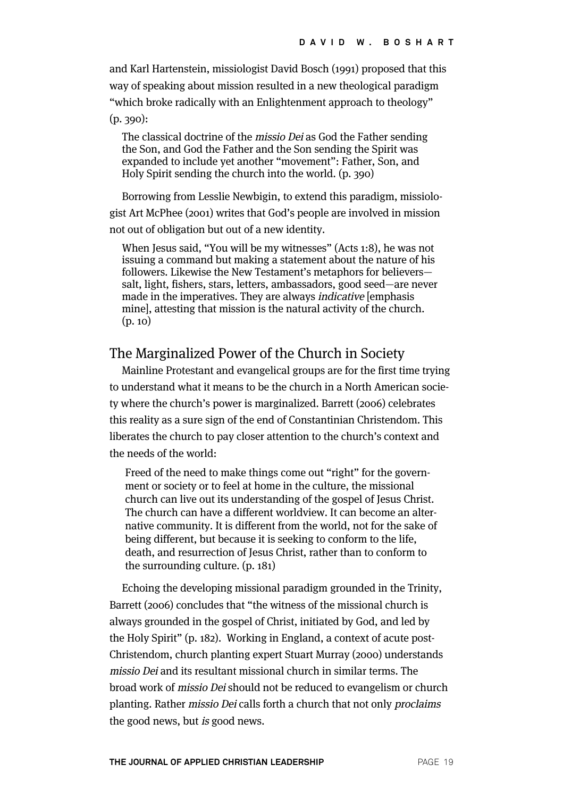and Karl Hartenstein, missiologist David Bosch (1991) proposed that this way of speaking about mission resulted in a new theological paradigm "which broke radically with an Enlightenment approach to theology"

(p. 390):

The classical doctrine of the missio Dei as God the Father sending the Son, and God the Father and the Son sending the Spirit was expanded to include yet another "movement": Father, Son, and Holy Spirit sending the church into the world. (p. 390)

Borrowing from Lesslie Newbigin, to extend this paradigm, missiologist Art McPhee (2001) writes that God's people are involved in mission not out of obligation but out of a new identity.

When Jesus said, "You will be my witnesses" (Acts 1:8), he was not issuing a command but making a statement about the nature of his followers. Likewise the New Testament's metaphors for believers salt, light, fishers, stars, letters, ambassadors, good seed—are never made in the imperatives. They are always indicative [emphasis mine], attesting that mission is the natural activity of the church. (p. 10)

# The Marginalized Power of the Church in Society

Mainline Protestant and evangelical groups are for the first time trying to understand what it means to be the church in a North American society where the church's power is marginalized. Barrett (2006) celebrates this reality as a sure sign of the end of Constantinian Christendom. This liberates the church to pay closer attention to the church's context and the needs of the world:

Freed of the need to make things come out "right" for the government or society or to feel at home in the culture, the missional church can live out its understanding of the gospel of Jesus Christ. The church can have a different worldview. It can become an alternative community. It is different from the world, not for the sake of being different, but because it is seeking to conform to the life, death, and resurrection of Jesus Christ, rather than to conform to the surrounding culture. (p. 181)

Echoing the developing missional paradigm grounded in the Trinity, Barrett (2006) concludes that "the witness of the missional church is always grounded in the gospel of Christ, initiated by God, and led by the Holy Spirit" (p. 182). Working in England, a context of acute post-Christendom, church planting expert Stuart Murray (2000) understands missio Dei and its resultant missional church in similar terms. The broad work of missio Dei should not be reduced to evangelism or church planting. Rather missio Dei calls forth a church that not only proclaims the good news, but is good news.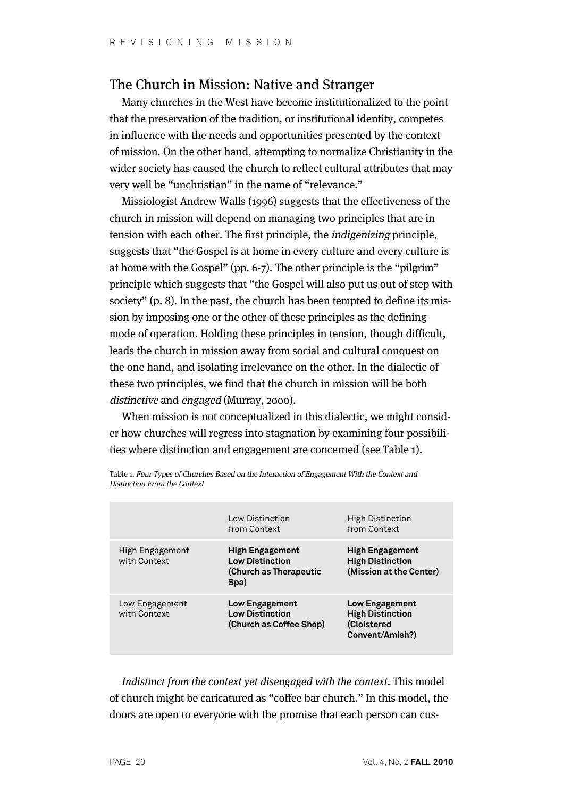# The Church in Mission: Native and Stranger

Many churches in the West have become institutionalized to the point that the preservation of the tradition, or institutional identity, competes in influence with the needs and opportunities presented by the context of mission. On the other hand, attempting to normalize Christianity in the wider society has caused the church to reflect cultural attributes that may very well be "unchristian" in the name of "relevance."

Missiologist Andrew Walls (1996) suggests that the effectiveness of the church in mission will depend on managing two principles that are in tension with each other. The first principle, the indigenizing principle, suggests that "the Gospel is at home in every culture and every culture is at home with the Gospel" (pp. 6-7). The other principle is the "pilgrim" principle which suggests that "the Gospel will also put us out of step with society" (p. 8). In the past, the church has been tempted to define its mission by imposing one or the other of these principles as the defining mode of operation. Holding these principles in tension, though difficult, leads the church in mission away from social and cultural conquest on the one hand, and isolating irrelevance on the other. In the dialectic of these two principles, we find that the church in mission will be both distinctive and engaged (Murray, 2000).

When mission is not conceptualized in this dialectic, we might consider how churches will regress into stagnation by examining four possibilities where distinction and engagement are concerned (see Table 1).

|                                 | Low Distinction<br>from Context                                                    | <b>High Distinction</b><br>from Context                                            |
|---------------------------------|------------------------------------------------------------------------------------|------------------------------------------------------------------------------------|
| High Engagement<br>with Context | <b>High Engagement</b><br><b>Low Distinction</b><br>(Church as Therapeutic<br>Spa) | <b>High Engagement</b><br><b>High Distinction</b><br>(Mission at the Center)       |
| Low Engagement<br>with Context  | <b>Low Engagement</b><br><b>Low Distinction</b><br>(Church as Coffee Shop)         | <b>Low Engagement</b><br><b>High Distinction</b><br>(Cloistered<br>Convent/Amish?) |

Table 1. Four Types of Churches Based on the Interaction of Engagement With the Context and Distinction From the Context

Indistinct from the context yet disengaged with the context. This model of church might be caricatured as "coffee bar church." In this model, the doors are open to everyone with the promise that each person can cus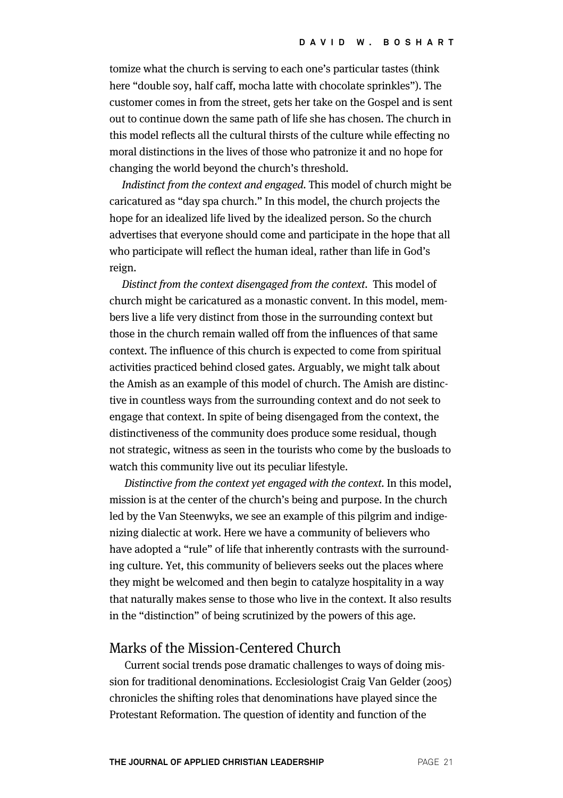tomize what the church is serving to each one's particular tastes (think here "double soy, half caff, mocha latte with chocolate sprinkles"). The customer comes in from the street, gets her take on the Gospel and is sent out to continue down the same path of life she has chosen. The church in this model reflects all the cultural thirsts of the culture while effecting no moral distinctions in the lives of those who patronize it and no hope for changing the world beyond the church's threshold.

Indistinct from the context and engaged. This model of church might be caricatured as "day spa church." In this model, the church projects the hope for an idealized life lived by the idealized person. So the church advertises that everyone should come and participate in the hope that all who participate will reflect the human ideal, rather than life in God's reign.

Distinct from the context disengaged from the context. This model of church might be caricatured as a monastic convent. In this model, members live a life very distinct from those in the surrounding context but those in the church remain walled off from the influences of that same context. The influence of this church is expected to come from spiritual activities practiced behind closed gates. Arguably, we might talk about the Amish as an example of this model of church. The Amish are distinctive in countless ways from the surrounding context and do not seek to engage that context. In spite of being disengaged from the context, the distinctiveness of the community does produce some residual, though not strategic, witness as seen in the tourists who come by the busloads to watch this community live out its peculiar lifestyle.

Distinctive from the context yet engaged with the context. In this model, mission is at the center of the church's being and purpose. In the church led by the Van Steenwyks, we see an example of this pilgrim and indigenizing dialectic at work. Here we have a community of believers who have adopted a "rule" of life that inherently contrasts with the surrounding culture. Yet, this community of believers seeks out the places where they might be welcomed and then begin to catalyze hospitality in a way that naturally makes sense to those who live in the context. It also results in the "distinction" of being scrutinized by the powers of this age.

### Marks of the Mission-Centered Church

Current social trends pose dramatic challenges to ways of doing mission for traditional denominations. Ecclesiologist Craig Van Gelder (2005) chronicles the shifting roles that denominations have played since the Protestant Reformation. The question of identity and function of the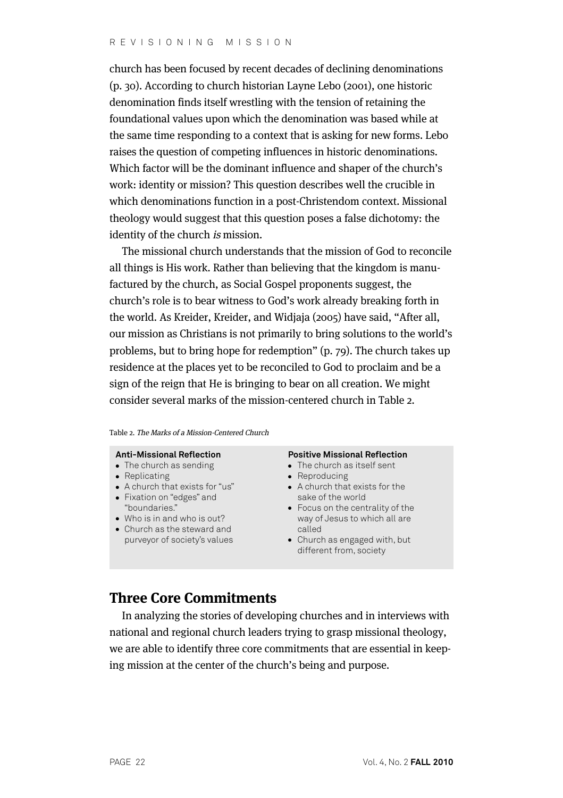church has been focused by recent decades of declining denominations (p. 30). According to church historian Layne Lebo (2001), one historic denomination finds itself wrestling with the tension of retaining the foundational values upon which the denomination was based while at the same time responding to a context that is asking for new forms. Lebo raises the question of competing influences in historic denominations. Which factor will be the dominant influence and shaper of the church's work: identity or mission? This question describes well the crucible in which denominations function in a post-Christendom context. Missional theology would suggest that this question poses a false dichotomy: the identity of the church is mission.

The missional church understands that the mission of God to reconcile all things is His work. Rather than believing that the kingdom is manufactured by the church, as Social Gospel proponents suggest, the church's role is to bear witness to God's work already breaking forth in the world. As Kreider, Kreider, and Widjaja (2005) have said, "After all, our mission as Christians is not primarily to bring solutions to the world's problems, but to bring hope for redemption" (p. 79). The church takes up residence at the places yet to be reconciled to God to proclaim and be a sign of the reign that He is bringing to bear on all creation. We might consider several marks of the mission-centered church in Table 2.

#### Table 2. The Marks of a Mission-Centered Church

#### **Anti-Missional Reflection**

- The church as sending
- Replicating
- A church that exists for "us"
- Fixation on "edges" and "boundaries."
- Who is in and who is out?
- Church as the steward and purveyor of society's values

#### **Positive Missional Reflection**

- The church as itself sent
- Reproducing
- A church that exists for the sake of the world
- Focus on the centrality of the way of Jesus to which all are called
- Church as engaged with, but different from, society

# **Three Core Commitments**

In analyzing the stories of developing churches and in interviews with national and regional church leaders trying to grasp missional theology, we are able to identify three core commitments that are essential in keeping mission at the center of the church's being and purpose.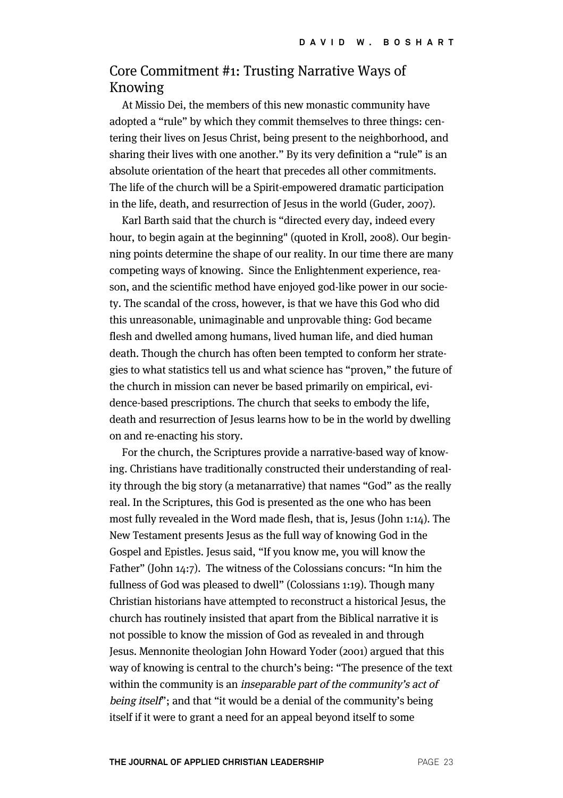# Core Commitment #1: Trusting Narrative Ways of Knowing

At Missio Dei, the members of this new monastic community have adopted a "rule" by which they commit themselves to three things: centering their lives on Jesus Christ, being present to the neighborhood, and sharing their lives with one another." By its very definition a "rule" is an absolute orientation of the heart that precedes all other commitments. The life of the church will be a Spirit-empowered dramatic participation in the life, death, and resurrection of Jesus in the world (Guder, 2007).

Karl Barth said that the church is "directed every day, indeed every hour, to begin again at the beginning" (quoted in Kroll, 2008). Our beginning points determine the shape of our reality. In our time there are many competing ways of knowing. Since the Enlightenment experience, reason, and the scientific method have enjoyed god-like power in our society. The scandal of the cross, however, is that we have this God who did this unreasonable, unimaginable and unprovable thing: God became flesh and dwelled among humans, lived human life, and died human death. Though the church has often been tempted to conform her strategies to what statistics tell us and what science has "proven," the future of the church in mission can never be based primarily on empirical, evidence-based prescriptions. The church that seeks to embody the life, death and resurrection of Jesus learns how to be in the world by dwelling on and re-enacting his story.

For the church, the Scriptures provide a narrative-based way of knowing. Christians have traditionally constructed their understanding of reality through the big story (a metanarrative) that names "God" as the really real. In the Scriptures, this God is presented as the one who has been most fully revealed in the Word made flesh, that is, Jesus (John 1:14). The New Testament presents Jesus as the full way of knowing God in the Gospel and Epistles. Jesus said, "If you know me, you will know the Father" (John 14:7). The witness of the Colossians concurs: "In him the fullness of God was pleased to dwell" (Colossians 1:19). Though many Christian historians have attempted to reconstruct a historical Jesus, the church has routinely insisted that apart from the Biblical narrative it is not possible to know the mission of God as revealed in and through Jesus. Mennonite theologian John Howard Yoder (2001) argued that this way of knowing is central to the church's being: "The presence of the text within the community is an inseparable part of the community's act of being itself"; and that "it would be a denial of the community's being itself if it were to grant a need for an appeal beyond itself to some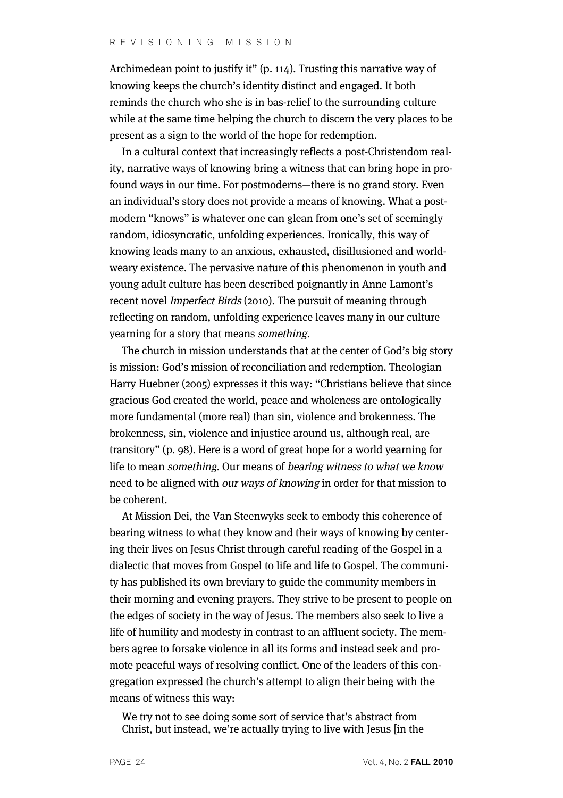Archimedean point to justify it" (p. 114). Trusting this narrative way of knowing keeps the church's identity distinct and engaged. It both reminds the church who she is in bas-relief to the surrounding culture while at the same time helping the church to discern the very places to be present as a sign to the world of the hope for redemption.

In a cultural context that increasingly reflects a post-Christendom reality, narrative ways of knowing bring a witness that can bring hope in profound ways in our time. For postmoderns—there is no grand story. Even an individual's story does not provide a means of knowing. What a postmodern "knows" is whatever one can glean from one's set of seemingly random, idiosyncratic, unfolding experiences. Ironically, this way of knowing leads many to an anxious, exhausted, disillusioned and worldweary existence. The pervasive nature of this phenomenon in youth and young adult culture has been described poignantly in Anne Lamont's recent novel Imperfect Birds (2010). The pursuit of meaning through reflecting on random, unfolding experience leaves many in our culture yearning for a story that means something.

The church in mission understands that at the center of God's big story is mission: God's mission of reconciliation and redemption. Theologian Harry Huebner (2005) expresses it this way: "Christians believe that since gracious God created the world, peace and wholeness are ontologically more fundamental (more real) than sin, violence and brokenness. The brokenness, sin, violence and injustice around us, although real, are transitory" (p. 98). Here is a word of great hope for a world yearning for life to mean something. Our means of bearing witness to what we know need to be aligned with our ways of knowing in order for that mission to be coherent.

At Mission Dei, the Van Steenwyks seek to embody this coherence of bearing witness to what they know and their ways of knowing by centering their lives on Jesus Christ through careful reading of the Gospel in a dialectic that moves from Gospel to life and life to Gospel. The community has published its own breviary to guide the community members in their morning and evening prayers. They strive to be present to people on the edges of society in the way of Jesus. The members also seek to live a life of humility and modesty in contrast to an affluent society. The members agree to forsake violence in all its forms and instead seek and promote peaceful ways of resolving conflict. One of the leaders of this congregation expressed the church's attempt to align their being with the means of witness this way:

We try not to see doing some sort of service that's abstract from Christ, but instead, we're actually trying to live with Jesus [in the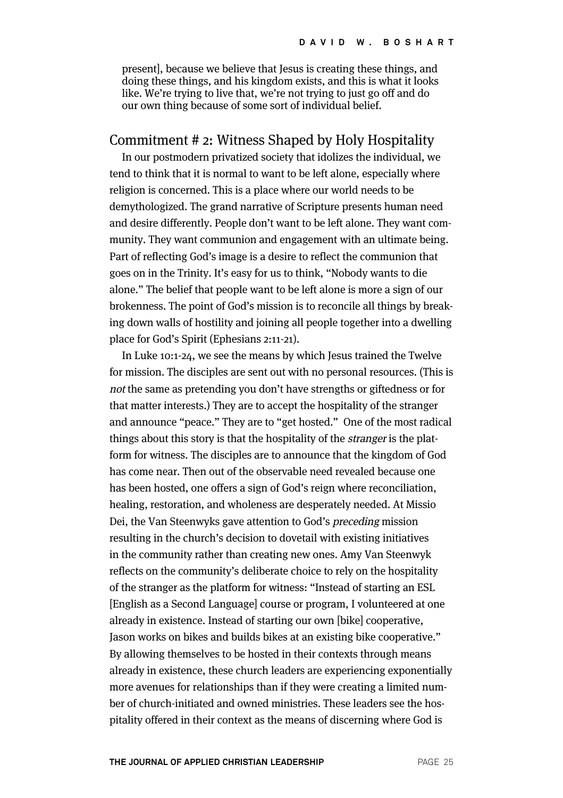present], because we believe that Jesus is creating these things, and doing these things, and his kingdom exists, and this is what it looks like. We're trying to live that, we're not trying to just go off and do our own thing because of some sort of individual belief.

### Commitment # 2: Witness Shaped by Holy Hospitality

In our postmodern privatized society that idolizes the individual, we tend to think that it is normal to want to be left alone, especially where religion is concerned. This is a place where our world needs to be demythologized. The grand narrative of Scripture presents human need and desire differently. People don't want to be left alone. They want community. They want communion and engagement with an ultimate being. Part of reflecting God's image is a desire to reflect the communion that goes on in the Trinity. It's easy for us to think, "Nobody wants to die alone." The belief that people want to be left alone is more a sign of our brokenness. The point of God's mission is to reconcile all things by breaking down walls of hostility and joining all people together into a dwelling place for God's Spirit (Ephesians 2:11-21).

In Luke 10:1-24, we see the means by which Jesus trained the Twelve for mission. The disciples are sent out with no personal resources. (This is not the same as pretending you don't have strengths or giftedness or for that matter interests.) They are to accept the hospitality of the stranger and announce "peace." They are to "get hosted." One of the most radical things about this story is that the hospitality of the stranger is the platform for witness. The disciples are to announce that the kingdom of God has come near. Then out of the observable need revealed because one has been hosted, one offers a sign of God's reign where reconciliation, healing, restoration, and wholeness are desperately needed. At Missio Dei, the Van Steenwyks gave attention to God's preceding mission resulting in the church's decision to dovetail with existing initiatives in the community rather than creating new ones. Amy Van Steenwyk reflects on the community's deliberate choice to rely on the hospitality of the stranger as the platform for witness: "Instead of starting an ESL [English as a Second Language] course or program, I volunteered at one already in existence. Instead of starting our own [bike] cooperative, Jason works on bikes and builds bikes at an existing bike cooperative." By allowing themselves to be hosted in their contexts through means already in existence, these church leaders are experiencing exponentially more avenues for relationships than if they were creating a limited number of church-initiated and owned ministries. These leaders see the hospitality offered in their context as the means of discerning where God is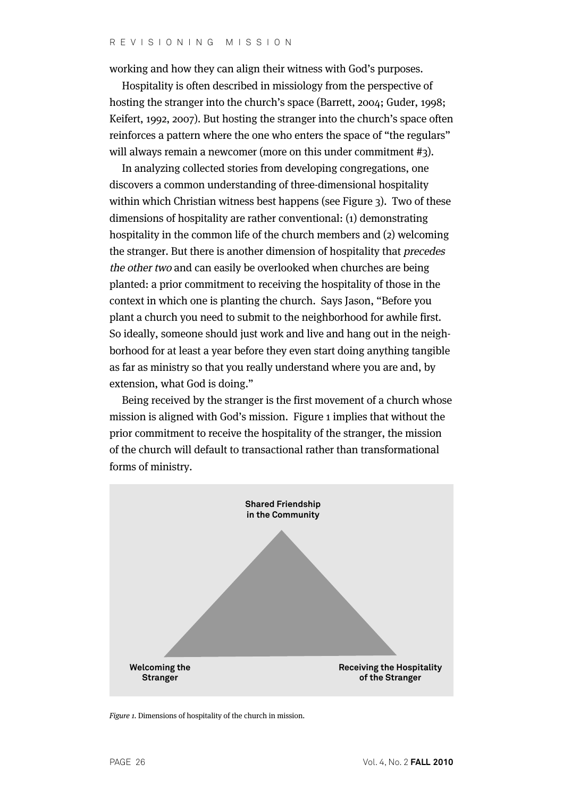working and how they can align their witness with God's purposes.

Hospitality is often described in missiology from the perspective of hosting the stranger into the church's space (Barrett, 2004; Guder, 1998; Keifert, 1992, 2007). But hosting the stranger into the church's space often reinforces a pattern where the one who enters the space of "the regulars" will always remain a newcomer (more on this under commitment #3).

In analyzing collected stories from developing congregations, one discovers a common understanding of three-dimensional hospitality within which Christian witness best happens (see Figure 3). Two of these dimensions of hospitality are rather conventional: (1) demonstrating hospitality in the common life of the church members and (2) welcoming the stranger. But there is another dimension of hospitality that precedes the other two and can easily be overlooked when churches are being planted: a prior commitment to receiving the hospitality of those in the context in which one is planting the church. Says Jason, "Before you plant a church you need to submit to the neighborhood for awhile first. So ideally, someone should just work and live and hang out in the neighborhood for at least a year before they even start doing anything tangible as far as ministry so that you really understand where you are and, by extension, what God is doing."

Being received by the stranger is the first movement of a church whose mission is aligned with God's mission. Figure 1 implies that without the prior commitment to receive the hospitality of the stranger, the mission of the church will default to transactional rather than transformational forms of ministry.



Figure 1. Dimensions of hospitality of the church in mission.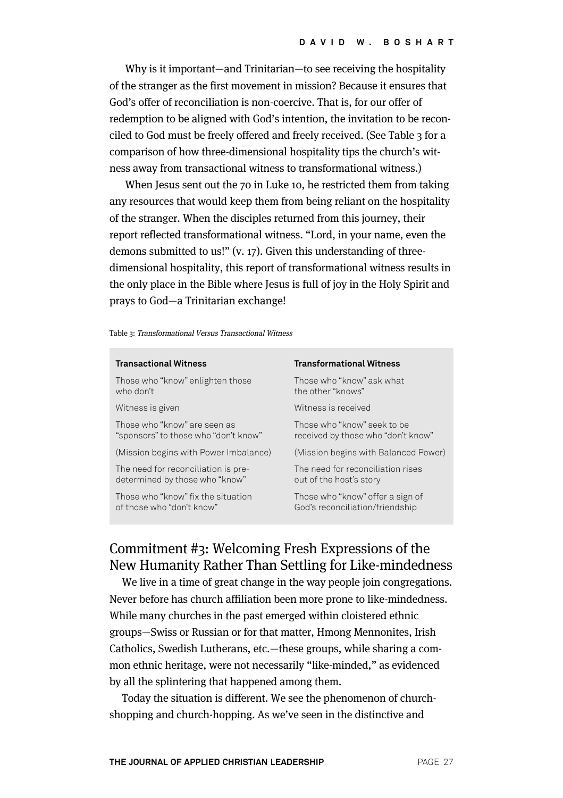Why is it important—and Trinitarian—to see receiving the hospitality of the stranger as the first movement in mission? Because it ensures that God's offer of reconciliation is non-coercive. That is, for our offer of redemption to be aligned with God's intention, the invitation to be reconciled to God must be freely offered and freely received. (See Table 3 for a comparison of how three-dimensional hospitality tips the church's witness away from transactional witness to transformational witness.)

When Jesus sent out the 70 in Luke 10, he restricted them from taking any resources that would keep them from being reliant on the hospitality of the stranger. When the disciples returned from this journey, their report reflected transformational witness. "Lord, in your name, even the demons submitted to us!" (v. 17). Given this understanding of threedimensional hospitality, this report of transformational witness results in the only place in the Bible where Jesus is full of joy in the Holy Spirit and prays to God—a Trinitarian exchange!

Table 3: Transformational Versus Transactional Witness

| <b>Transactional Witness</b>                                          | <b>Transformational Witness</b>                                     |
|-----------------------------------------------------------------------|---------------------------------------------------------------------|
| Those who "know" enlighten those<br>who don't                         | Those who "know" ask what<br>the other "knows"                      |
| Witness is given                                                      | Witness is received                                                 |
| Those who "know" are seen as<br>"sponsors" to those who "don't know"  | Those who "know" seek to be<br>received by those who "don't know"   |
| (Mission begins with Power Imbalance)                                 | (Mission begins with Balanced Power)                                |
| The need for reconciliation is pre-<br>determined by those who "know" | The need for reconciliation rises<br>out of the host's story        |
| Those who "know" fix the situation<br>of those who "don't know"       | Those who "know" offer a sign of<br>God's reconciliation/friendship |
|                                                                       |                                                                     |

# Commitment #3: Welcoming Fresh Expressions of the New Humanity Rather Than Settling for Like-mindedness

We live in a time of great change in the way people join congregations. Never before has church affiliation been more prone to like-mindedness. While many churches in the past emerged within cloistered ethnic groups—Swiss or Russian or for that matter, Hmong Mennonites, Irish Catholics, Swedish Lutherans, etc.—these groups, while sharing a common ethnic heritage, were not necessarily "like-minded," as evidenced by all the splintering that happened among them.

Today the situation is different. We see the phenomenon of churchshopping and church-hopping. As we've seen in the distinctive and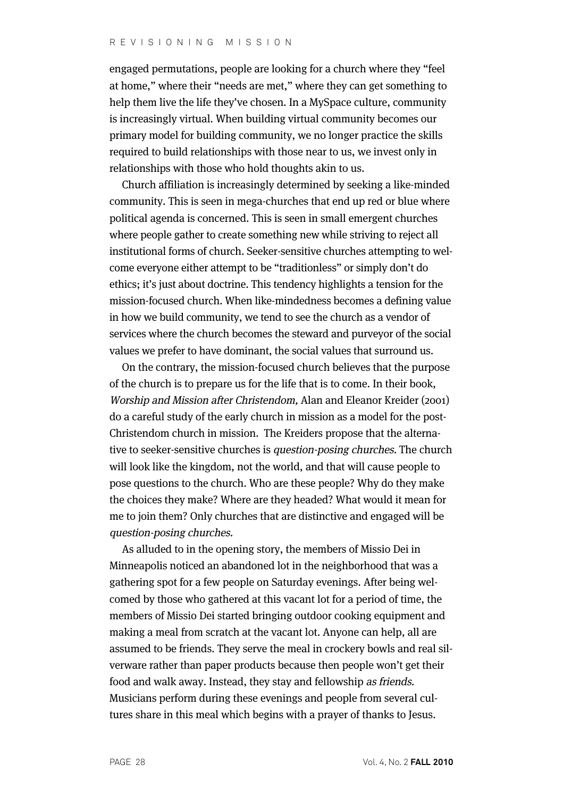engaged permutations, people are looking for a church where they "feel at home," where their "needs are met," where they can get something to help them live the life they've chosen. In a MySpace culture, community is increasingly virtual. When building virtual community becomes our primary model for building community, we no longer practice the skills required to build relationships with those near to us, we invest only in relationships with those who hold thoughts akin to us.

Church affiliation is increasingly determined by seeking a like-minded community. This is seen in mega-churches that end up red or blue where political agenda is concerned. This is seen in small emergent churches where people gather to create something new while striving to reject all institutional forms of church. Seeker-sensitive churches attempting to welcome everyone either attempt to be "traditionless" or simply don't do ethics; it's just about doctrine. This tendency highlights a tension for the mission-focused church. When like-mindedness becomes a defining value in how we build community, we tend to see the church as a vendor of services where the church becomes the steward and purveyor of the social values we prefer to have dominant, the social values that surround us.

On the contrary, the mission-focused church believes that the purpose of the church is to prepare us for the life that is to come. In their book, Worship and Mission after Christendom, Alan and Eleanor Kreider (2001) do a careful study of the early church in mission as a model for the post-Christendom church in mission. The Kreiders propose that the alternative to seeker-sensitive churches is question-posing churches. The church will look like the kingdom, not the world, and that will cause people to pose questions to the church. Who are these people? Why do they make the choices they make? Where are they headed? What would it mean for me to join them? Only churches that are distinctive and engaged will be question-posing churches.

As alluded to in the opening story, the members of Missio Dei in Minneapolis noticed an abandoned lot in the neighborhood that was a gathering spot for a few people on Saturday evenings. After being welcomed by those who gathered at this vacant lot for a period of time, the members of Missio Dei started bringing outdoor cooking equipment and making a meal from scratch at the vacant lot. Anyone can help, all are assumed to be friends. They serve the meal in crockery bowls and real silverware rather than paper products because then people won't get their food and walk away. Instead, they stay and fellowship as friends. Musicians perform during these evenings and people from several cultures share in this meal which begins with a prayer of thanks to Jesus.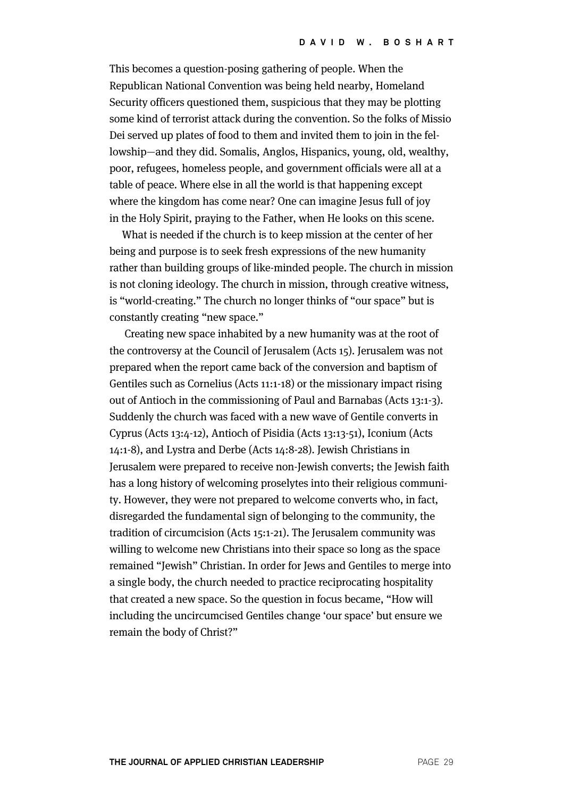This becomes a question-posing gathering of people. When the Republican National Convention was being held nearby, Homeland Security officers questioned them, suspicious that they may be plotting some kind of terrorist attack during the convention. So the folks of Missio Dei served up plates of food to them and invited them to join in the fellowship—and they did. Somalis, Anglos, Hispanics, young, old, wealthy, poor, refugees, homeless people, and government officials were all at a table of peace. Where else in all the world is that happening except where the kingdom has come near? One can imagine Jesus full of joy in the Holy Spirit, praying to the Father, when He looks on this scene.

What is needed if the church is to keep mission at the center of her being and purpose is to seek fresh expressions of the new humanity rather than building groups of like-minded people. The church in mission is not cloning ideology. The church in mission, through creative witness, is "world-creating." The church no longer thinks of "our space" but is constantly creating "new space."

Creating new space inhabited by a new humanity was at the root of the controversy at the Council of Jerusalem (Acts 15). Jerusalem was not prepared when the report came back of the conversion and baptism of Gentiles such as Cornelius (Acts 11:1-18) or the missionary impact rising out of Antioch in the commissioning of Paul and Barnabas (Acts 13:1-3). Suddenly the church was faced with a new wave of Gentile converts in Cyprus (Acts 13:4-12), Antioch of Pisidia (Acts 13:13-51), Iconium (Acts 14:1-8), and Lystra and Derbe (Acts 14:8-28). Jewish Christians in Jerusalem were prepared to receive non-Jewish converts; the Jewish faith has a long history of welcoming proselytes into their religious community. However, they were not prepared to welcome converts who, in fact, disregarded the fundamental sign of belonging to the community, the tradition of circumcision (Acts 15:1-21). The Jerusalem community was willing to welcome new Christians into their space so long as the space remained "Jewish" Christian. In order for Jews and Gentiles to merge into a single body, the church needed to practice reciprocating hospitality that created a new space. So the question in focus became, "How will including the uncircumcised Gentiles change 'our space' but ensure we remain the body of Christ?"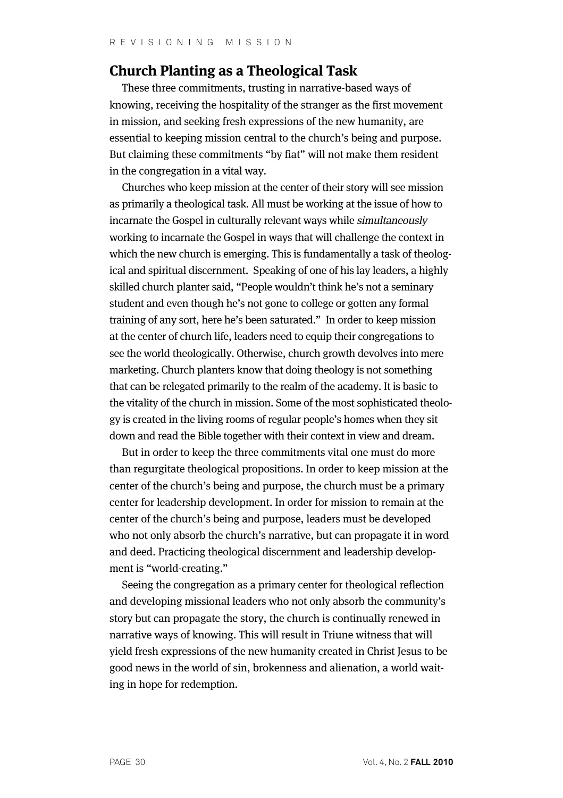# **Church Planting as a Theological Task**

These three commitments, trusting in narrative-based ways of knowing, receiving the hospitality of the stranger as the first movement in mission, and seeking fresh expressions of the new humanity, are essential to keeping mission central to the church's being and purpose. But claiming these commitments "by fiat" will not make them resident in the congregation in a vital way.

Churches who keep mission at the center of their story will see mission as primarily a theological task. All must be working at the issue of how to incarnate the Gospel in culturally relevant ways while simultaneously working to incarnate the Gospel in ways that will challenge the context in which the new church is emerging. This is fundamentally a task of theological and spiritual discernment. Speaking of one of his lay leaders, a highly skilled church planter said, "People wouldn't think he's not a seminary student and even though he's not gone to college or gotten any formal training of any sort, here he's been saturated." In order to keep mission at the center of church life, leaders need to equip their congregations to see the world theologically. Otherwise, church growth devolves into mere marketing. Church planters know that doing theology is not something that can be relegated primarily to the realm of the academy. It is basic to the vitality of the church in mission. Some of the most sophisticated theology is created in the living rooms of regular people's homes when they sit down and read the Bible together with their context in view and dream.

But in order to keep the three commitments vital one must do more than regurgitate theological propositions. In order to keep mission at the center of the church's being and purpose, the church must be a primary center for leadership development. In order for mission to remain at the center of the church's being and purpose, leaders must be developed who not only absorb the church's narrative, but can propagate it in word and deed. Practicing theological discernment and leadership development is "world-creating."

Seeing the congregation as a primary center for theological reflection and developing missional leaders who not only absorb the community's story but can propagate the story, the church is continually renewed in narrative ways of knowing. This will result in Triune witness that will yield fresh expressions of the new humanity created in Christ Jesus to be good news in the world of sin, brokenness and alienation, a world waiting in hope for redemption.